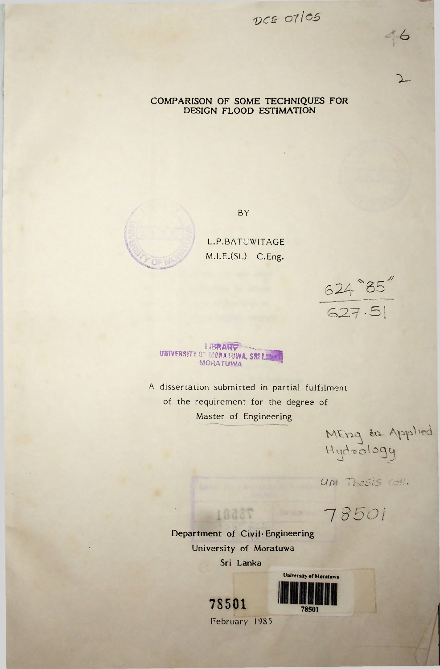07/*OS*

### COMPARISON OF SOME TECHNIQUES FOR DESIGN FLOOD ESTIMATION

!

BY

L.P.BATUWITAGE M.I.E.(SL) C.Eng.

// 624 85 **'O**2.7-SI

 $66$ 

**X-**

UNIVERSITY OF **WIRA FUWA, SKILE WIR** mohatuvya

A dissertation submitted in partial fulfilment of the requirement for the degree of Master of Engineering

Applies <sup>V</sup> \ t.yo *^* o ^ o c\ u

*UM TheSis* coll.

7 *8501*

Department of Civil Engineering University of **Moratuwa**

10087

Sri Lanka



February 1985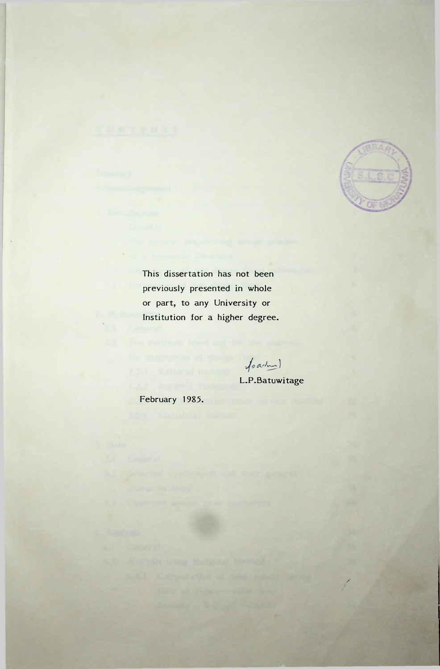

This dissertation has not been previously presented in whole or part, to any University or Institution for a higher degree.

fraction

L.P.Batuwitage

February 1985.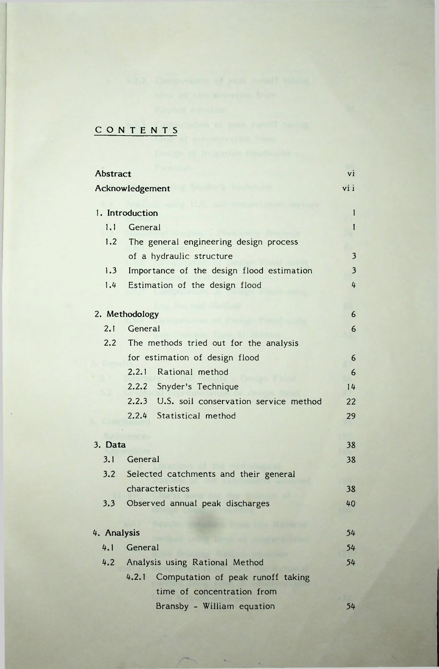# CONTENTS

| Abstract        |                                             |                         |  |  |
|-----------------|---------------------------------------------|-------------------------|--|--|
| Acknowledgement |                                             |                         |  |  |
|                 |                                             | 1                       |  |  |
|                 | 1. Introduction                             |                         |  |  |
| 1.1             | General                                     |                         |  |  |
| 1.2             | The general engineering design process      |                         |  |  |
|                 | of a hydraulic structure                    | $\overline{\mathbf{3}}$ |  |  |
| 1.3             | Importance of the design flood estimation   | $\overline{\mathbf{3}}$ |  |  |
| $1.4 -$         | Estimation of the design flood              | 4                       |  |  |
|                 | 2. Methodology                              | 6                       |  |  |
| 2.1             | General                                     | 6                       |  |  |
|                 |                                             |                         |  |  |
|                 | 2.2 The methods tried out for the analysis  |                         |  |  |
|                 | for estimation of design flood              | 6                       |  |  |
|                 | 2.2.1 Rational method                       | 6                       |  |  |
|                 | 2.2.2 Snyder's Technique                    | 14                      |  |  |
|                 | 2.2.3 U.S. soil conservation service method | 22                      |  |  |
|                 | 2.2.4 Statistical method                    | 29                      |  |  |
|                 |                                             | 38                      |  |  |
| 3. Data         |                                             |                         |  |  |
| 3.1             | General                                     | 38                      |  |  |
|                 | 3.2 Selected catchments and their general   |                         |  |  |
|                 | characteristics                             | 38                      |  |  |
| 3.3             | Observed annual peak discharges             | 40                      |  |  |
| 4. Analysis     |                                             | 54                      |  |  |
| 4.1             | General                                     | 54                      |  |  |
|                 |                                             | 54                      |  |  |
|                 | 4.2 Analysis using Rational Method          |                         |  |  |
|                 | 4.2.1 Computation of peak runoff taking     |                         |  |  |
|                 | time of concentration from                  |                         |  |  |
|                 | Bransby - William equation                  | 54                      |  |  |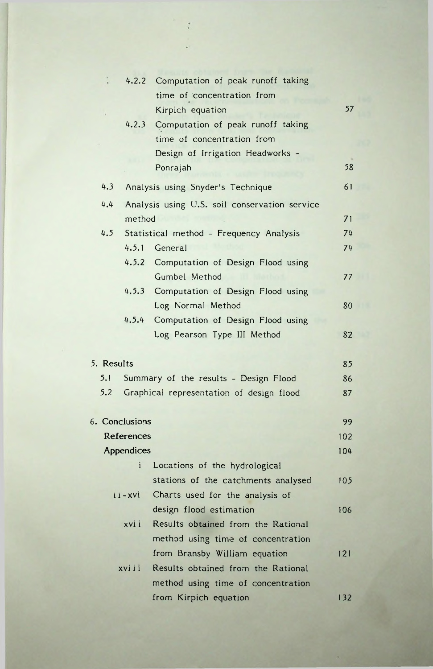|                                                            |                | 4.2.2 Computation of peak runoff taking       |          |  |
|------------------------------------------------------------|----------------|-----------------------------------------------|----------|--|
|                                                            |                | time of concentration from                    |          |  |
|                                                            |                | Kirpich equation                              | 57       |  |
|                                                            |                | 4.2.3 Computation of peak runoff taking       |          |  |
|                                                            |                | time of concentration from                    |          |  |
|                                                            |                | Design of Irrigation Headworks -              |          |  |
|                                                            |                | Ponrajah                                      | 58       |  |
| 4.3                                                        |                | Analysis using Snyder's Technique             | 61       |  |
| 4.4                                                        |                | Analysis using U.S. soil conservation service |          |  |
|                                                            | method         |                                               | 71       |  |
| 4.5                                                        |                | Statistical method - Frequency Analysis       | 74       |  |
|                                                            |                | 4.5.1 General                                 | 74       |  |
|                                                            |                | 4.5.2 Computation of Design Flood using       |          |  |
|                                                            |                | Gumbel Method                                 | 77       |  |
|                                                            |                | 4.5.3 Computation of Design Flood using       |          |  |
|                                                            |                | Log Normal Method                             | 80       |  |
|                                                            | 4.5.4          | Computation of Design Flood using             |          |  |
|                                                            |                | Log Pearson Type III Method                   | 82       |  |
|                                                            |                |                                               | 85       |  |
| 5. Results<br>5.1<br>Summary of the results - Design Flood |                |                                               |          |  |
| 5.2                                                        |                | Graphical representation of design flood      | 86<br>87 |  |
|                                                            |                |                                               |          |  |
|                                                            | 6. Conclusions |                                               | 99       |  |
|                                                            | References     |                                               | 102      |  |
|                                                            | Appendices     |                                               | 104      |  |
|                                                            | Ť              | Locations of the hydrological                 |          |  |
|                                                            |                | stations of the catchments analysed           | 105      |  |
|                                                            | $i - xvi$      | Charts used for the analysis of               |          |  |
|                                                            |                | design flood estimation                       | 106      |  |
|                                                            | xvi i          | Results obtained from the Rational            |          |  |
|                                                            |                | method using time of concentration            |          |  |
|                                                            |                | from Bransby William equation                 | 121      |  |
|                                                            | xviii          | Results obtained from the Rational            |          |  |
|                                                            |                | method using time of concentration            |          |  |
|                                                            |                | from Kirpich equation                         | 132      |  |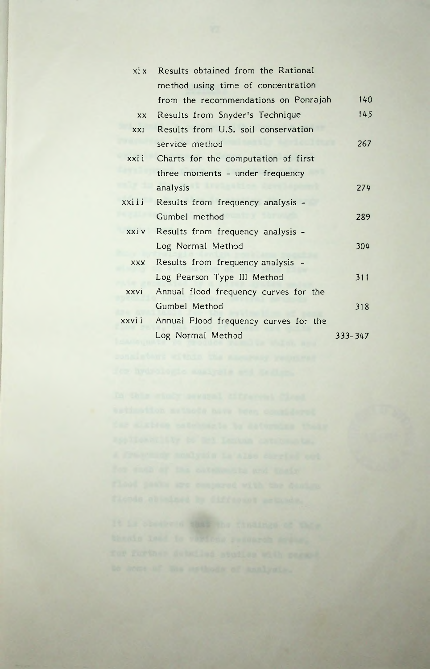| xi x       | Results obtained from the Rational     |             |
|------------|----------------------------------------|-------------|
|            | method using time of concentration     |             |
|            | from the recommendations on Ponrajah   | 140         |
| XX.        | Results from Snyder's Technique        | 145         |
| xxi        | Results from U.S. soil conservation    |             |
|            | service method                         | 267         |
| xxii       | Charts for the computation of first    |             |
|            | three moments - under frequency        |             |
|            | analysis                               | 274         |
| xxiii      | Results from frequency analysis -      |             |
|            | Gumbel method                          | 289         |
|            | xxiv Results from frequency analysis - |             |
|            | Log Normal Method                      | 304         |
| <b>XXX</b> | Results from frequency analysis        |             |
|            | Log Pearson Type III Method            | 311         |
| xxvi       | Annual flood frequency curves for the  |             |
|            | Gumbel Method                          | 318         |
| xxvii      | Annual Flood frequency curves for the  |             |
|            | Log Normal Method                      | $333 - 347$ |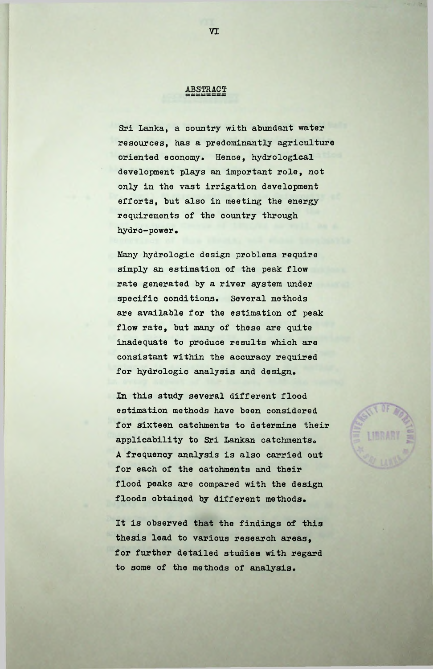### ABSTRACT

Sri Lanka, a country with abundant water resources, has a predominantly agriculture oriented economy. Hence, hydrological development plays an important role, not only in the vast irrigation development efforts, but also in meeting the energy requirements of the country through hydro-power.

Many hydrologic design problems require simply an estimation of the peak flow rate generated by a river system under specific conditions. Several methods are available for the estimation of peak flow rate, but many of these are quite inadequate to produce results which are consistant within the accuracy required for hydrologic analysis and design.

In this study several different flood estimation methods have been considered for sixteen catchments to determine their applicability to Sri Lankan catchments. <sup>A</sup> frequency analysis is also carried out for each of the catchments and their flood peaks are compared with the design floods obtained by different methods.

It is observed that the findings of this thesis lead to various research areas, for further detailed studies with regard to some of the methods of analysis.

#### VI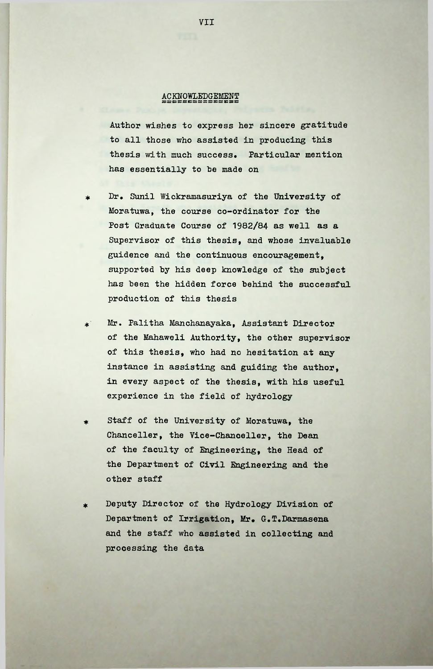### ssessessesses<br>VCKMOMTRDGRWRMT

Author wishes to express her sincere gratitude to all those who assisted in producing this thesis with much success. Particular mention has essentially to he made on

- Dr. Sunil Wickramasuriya of the University of Moratuwa, the course co-ordinator for the Post Graduate Course of 1982/84 as well as a Supervisor of this thesis, and whose invaluable guidence and the continuous encouragement, supported by his deep knowledge of the subject has been the hidden force behind the successful production of this thesis \*
- Mr. Palitha Manchanayaka, Assistant Director of the Mahaweli Authority, the other supervisor of this thesis, who had no hesitation at any instance in assisting and guiding the author, in every aspect of the thesis, with his useful experience in the field of hydrology  $\star$ <sup>\*</sup>
- Staff of the University of Moratuwa, the Chancellor, the Vice-Chanceller, the Dean of the faculty of Engineering, the Head of the Department of Civil Engineering and the other staff \*
- Deputy Director of the Hydrology Division of Department of Irrigation, Mr. G.T.Darmasena and the staff who assisted in collecting and processing the data

VII